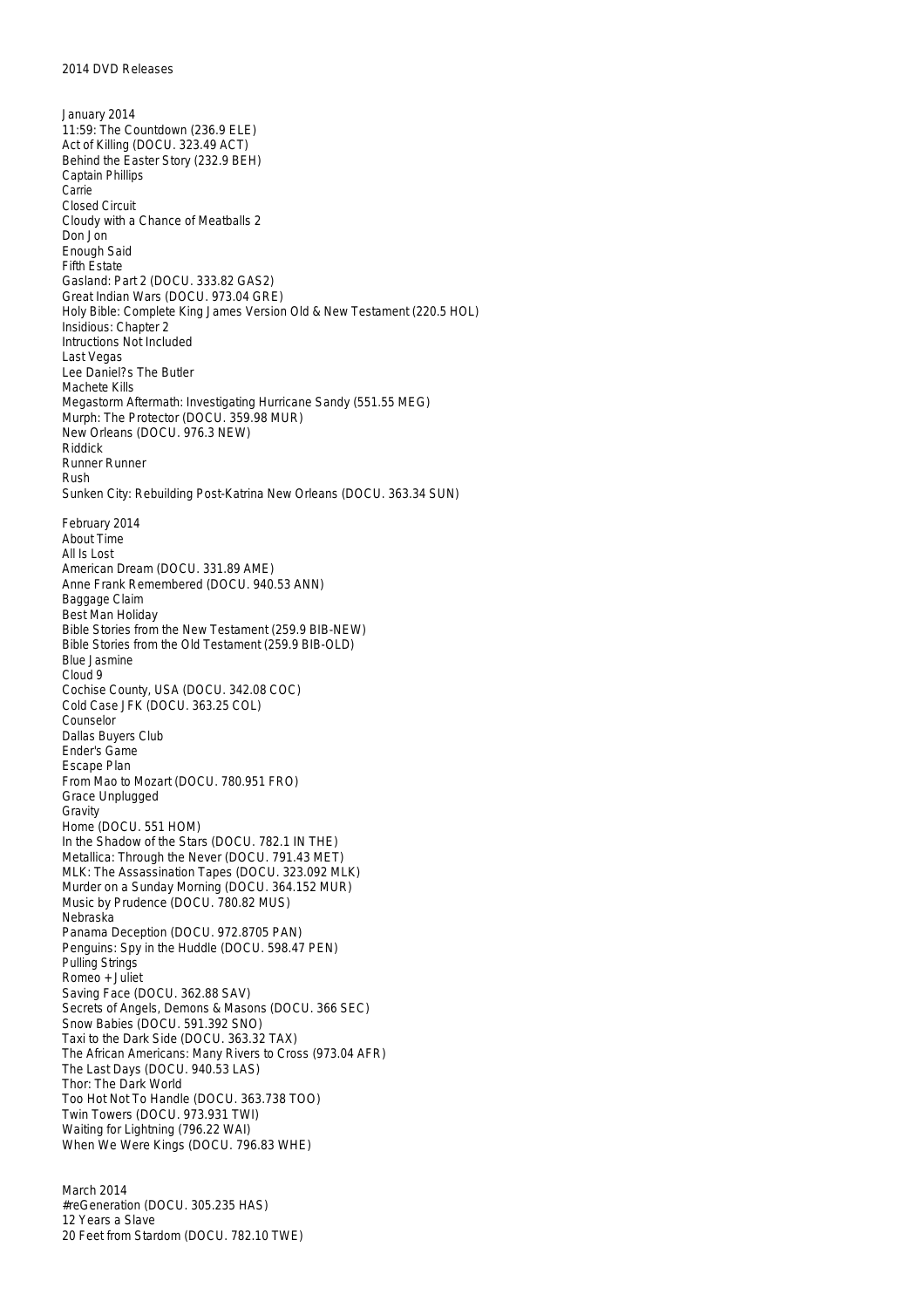January 2014 11:59: The Countdown (236.9 ELE) Act of Killing (DOCU. 323.49 ACT) Behind the Easter Story (232.9 BEH) Captain Phillips Carrie Closed Circuit Cloudy with a Chance of Meatballs 2 Don Jon Enough Said Fifth Estate Gasland: Part 2 (DOCU. 333.82 GAS2) Great Indian Wars (DOCU. 973.04 GRE) Holy Bible: Complete King James Version Old & New Testament (220.5 HOL) Insidious: Chapter 2 Intructions Not Included Last Vegas Lee Daniel?s The Butler Machete Kills Megastorm Aftermath: Investigating Hurricane Sandy (551.55 MEG) Murph: The Protector (DOCU. 359.98 MUR) New Orleans (DOCU. 976.3 NEW) Riddick Runner Runner Rush Sunken City: Rebuilding Post-Katrina New Orleans (DOCU. 363.34 SUN) February 2014 About Time All Is Lost American Dream (DOCU. 331.89 AME) Anne Frank Remembered (DOCU. 940.53 ANN) Baggage Claim Best Man Holiday Bible Stories from the New Testament (259.9 BIB-NEW) Bible Stories from the Old Testament (259.9 BIB-OLD) Blue Jasmine Cloud 9 Cochise County, USA (DOCU. 342.08 COC) Cold Case JFK (DOCU. 363.25 COL) Counselor Dallas Buyers Club Ender's Game Escape Plan From Mao to Mozart (DOCU. 780.951 FRO) Grace Unplugged Gravity Home (DOCU. 551 HOM) In the Shadow of the Stars (DOCU. 782.1 IN THE) Metallica: Through the Never (DOCU. 791.43 MET) MLK: The Assassination Tapes (DOCU. 323.092 MLK) Murder on a Sunday Morning (DOCU. 364.152 MUR) Music by Prudence (DOCU. 780.82 MUS) Nebraska Panama Deception (DOCU. 972.8705 PAN) Penguins: Spy in the Huddle (DOCU. 598.47 PEN) Pulling Strings Romeo + Juliet Saving Face (DOCU. 362.88 SAV) Secrets of Angels, Demons & Masons (DOCU. 366 SEC) Snow Babies (DOCU. 591.392 SNO) Taxi to the Dark Side (DOCU. 363.32 TAX) The African Americans: Many Rivers to Cross (973.04 AFR) The Last Days (DOCU. 940.53 LAS) Thor: The Dark World Too Hot Not To Handle (DOCU. 363.738 TOO) Twin Towers (DOCU. 973.931 TWI) Waiting for Lightning (796.22 WAI) When We Were Kings (DOCU. 796.83 WHE)

March 2014 #reGeneration (DOCU. 305.235 HAS) 12 Years a Slave 20 Feet from Stardom (DOCU. 782.10 TWE)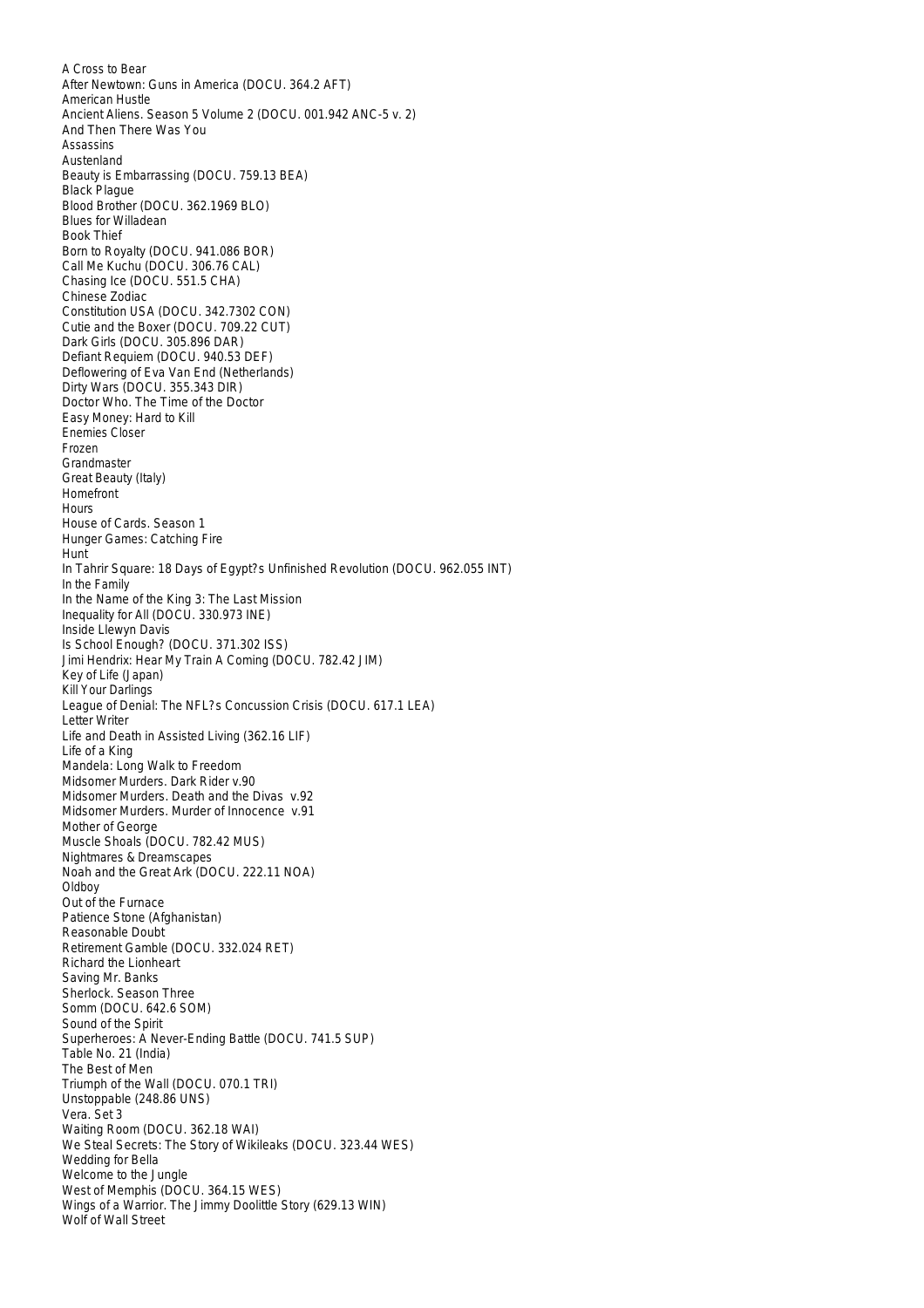A Cross to Bear After Newtown: Guns in America (DOCU. 364.2 AFT) American Hustle Ancient Aliens. Season 5 Volume 2 (DOCU. 001.942 ANC-5 v. 2) And Then There Was You Assassins Austenland Beauty is Embarrassing (DOCU. 759.13 BEA) Black Plague Blood Brother (DOCU. 362.1969 BLO) Blues for Willadean Book Thief Born to Royalty (DOCU. 941.086 BOR) Call Me Kuchu (DOCU. 306.76 CAL) Chasing Ice (DOCU. 551.5 CHA) Chinese Zodiac Constitution USA (DOCU. 342.7302 CON) Cutie and the Boxer (DOCU. 709.22 CUT) Dark Girls (DOCU. 305.896 DAR) Defiant Requiem (DOCU. 940.53 DEF) Deflowering of Eva Van End (Netherlands) Dirty Wars (DOCU. 355.343 DIR) Doctor Who. The Time of the Doctor Easy Money: Hard to Kill Enemies Closer Frozen Grandmaster Great Beauty (Italy) Homefront Hours House of Cards. Season 1 Hunger Games: Catching Fire Hunt In Tahrir Square: 18 Days of Egypt?s Unfinished Revolution (DOCU. 962.055 INT) In the Family In the Name of the King 3: The Last Mission Inequality for All (DOCU. 330.973 INE) Inside Llewyn Davis Is School Enough? (DOCU. 371.302 ISS) Jimi Hendrix: Hear My Train A Coming (DOCU. 782.42 JIM) Key of Life (Japan) Kill Your Darlings League of Denial: The NFL?s Concussion Crisis (DOCU. 617.1 LEA) Letter Writer Life and Death in Assisted Living (362.16 LIF) Life of a King Mandela: Long Walk to Freedom Midsomer Murders. Dark Rider v.90 Midsomer Murders. Death and the Divas v.92 Midsomer Murders. Murder of Innocence v.91 Mother of George Muscle Shoals (DOCU. 782.42 MUS) Nightmares & Dreamscapes Noah and the Great Ark (DOCU. 222.11 NOA) Oldboy Out of the Furnace Patience Stone (Afghanistan) Reasonable Doubt Retirement Gamble (DOCU. 332.024 RET) Richard the Lionheart Saving Mr. Banks Sherlock. Season Three Somm (DOCU. 642.6 SOM) Sound of the Spirit Superheroes: A Never-Ending Battle (DOCU. 741.5 SUP) Table No. 21 (India) The Best of Men Triumph of the Wall (DOCU. 070.1 TRI) Unstoppable (248.86 UNS) Vera. Set 3 Waiting Room (DOCU. 362.18 WAI) We Steal Secrets: The Story of Wikileaks (DOCU. 323.44 WES) Wedding for Bella Welcome to the Jungle West of Memphis (DOCU. 364.15 WES) Wings of a Warrior. The Jimmy Doolittle Story (629.13 WIN) Wolf of Wall Street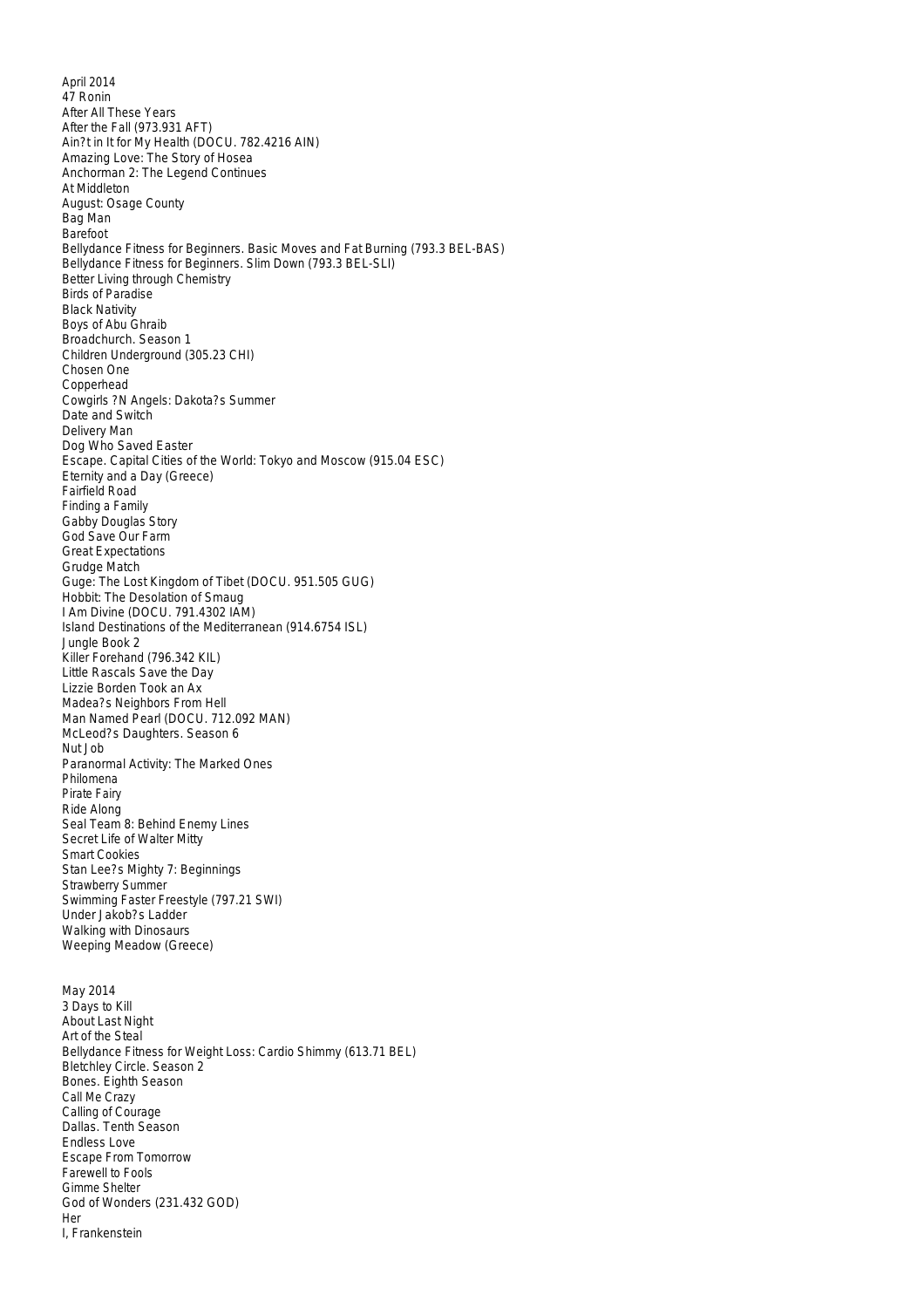April 2014 47 Ronin After All These Years After the Fall (973.931 AFT) Ain?t in It for My Health (DOCU. 782.4216 AIN) Amazing Love: The Story of Hosea Anchorman 2: The Legend Continues At Middleton August: Osage County Bag Man Barefoot Bellydance Fitness for Beginners. Basic Moves and Fat Burning (793.3 BEL-BAS) Bellydance Fitness for Beginners. Slim Down (793.3 BEL-SLI) Better Living through Chemistry Birds of Paradise Black Nativity Boys of Abu Ghraib Broadchurch. Season 1 Children Underground (305.23 CHI) Chosen One Copperhead Cowgirls ?N Angels: Dakota?s Summer Date and Switch Delivery Man Dog Who Saved Easter Escape. Capital Cities of the World: Tokyo and Moscow (915.04 ESC) Eternity and a Day (Greece) Fairfield Road Finding a Family Gabby Douglas Story God Save Our Farm Great Expectations Grudge Match Guge: The Lost Kingdom of Tibet (DOCU. 951.505 GUG) Hobbit: The Desolation of Smaug I Am Divine (DOCU. 791.4302 IAM) Island Destinations of the Mediterranean (914.6754 ISL) Jungle Book 2 Killer Forehand (796.342 KIL) Little Rascals Save the Day Lizzie Borden Took an Ax Madea?s Neighbors From Hell Man Named Pearl (DOCU. 712.092 MAN) McLeod?s Daughters. Season 6 Nut Job Paranormal Activity: The Marked Ones Philomena Pirate Fairy Ride Along Seal Team 8: Behind Enemy Lines Secret Life of Walter Mitty Smart Cookies Stan Lee?s Mighty 7: Beginnings Strawberry Summer Swimming Faster Freestyle (797.21 SWI) Under Jakob?s Ladder Walking with Dinosaurs Weeping Meadow (Greece) May 2014 3 Days to Kill About Last Night Art of the Steal Bellydance Fitness for Weight Loss: Cardio Shimmy (613.71 BEL) Bletchley Circle. Season 2 Bones. Eighth Season Call Me Crazy Calling of Courage Dallas. Tenth Season Endless Love Escape From Tomorrow Farewell to Fools Gimme Shelter God of Wonders (231.432 GOD) Her I, Frankenstein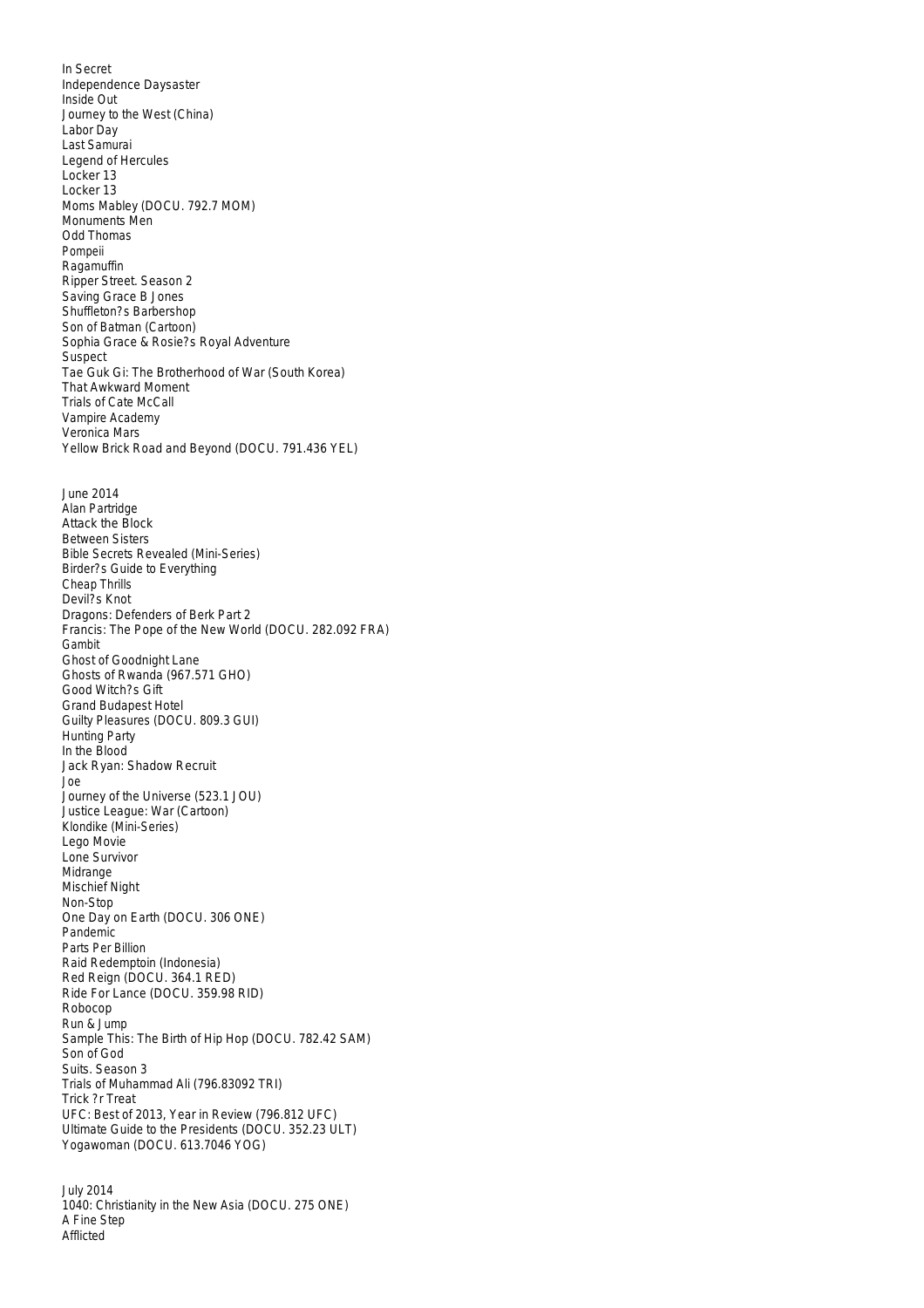In Secret Independence Daysaster Inside Out Journey to the West (China) Labor Day Last Samurai Legend of Hercules Locker 13 Locker 13 Moms Mabley (DOCU. 792.7 MOM) Monuments Men Odd Thomas Pompeii Ragamuffin Ripper Street. Season 2 Saving Grace B Jones Shuffleton?s Barbershop Son of Batman (Cartoon) Sophia Grace & Rosie?s Royal Adventure **Suspect** Tae Guk Gi: The Brotherhood of War (South Korea) That Awkward Moment Trials of Cate McCall Vampire Academy Veronica Mars Yellow Brick Road and Beyond (DOCU. 791.436 YEL) June 2014 Alan Partridge Attack the Block Between Sisters Bible Secrets Revealed (Mini-Series) Birder?s Guide to Everything Cheap Thrills Devil?s Knot Dragons: Defenders of Berk Part 2 Francis: The Pope of the New World (DOCU. 282.092 FRA) Gambit Ghost of Goodnight Lane Ghosts of Rwanda (967.571 GHO) Good Witch?s Gift Grand Budapest Hotel Guilty Pleasures (DOCU. 809.3 GUI) Hunting Party In the Blood Jack Ryan: Shadow Recruit Joe Journey of the Universe (523.1 JOU) Justice League: War (Cartoon) Klondike (Mini-Series) Lego Movie Lone Survivor Midrange Mischief Night Non-Stop One Day on Earth (DOCU. 306 ONE) Pandemic Parts Per Billion Raid Redemptoin (Indonesia) Red Reign (DOCU. 364.1 RED) Ride For Lance (DOCU. 359.98 RID) Robocop Run & Jump Sample This: The Birth of Hip Hop (DOCU. 782.42 SAM) Son of God Suits. Season 3 Trials of Muhammad Ali (796.83092 TRI) Trick ?r Treat UFC: Best of 2013, Year in Review (796.812 UFC) Ultimate Guide to the Presidents (DOCU. 352.23 ULT) Yogawoman (DOCU. 613.7046 YOG)

July 2014 1040: Christianity in the New Asia (DOCU. 275 ONE) A Fine Step Afflicted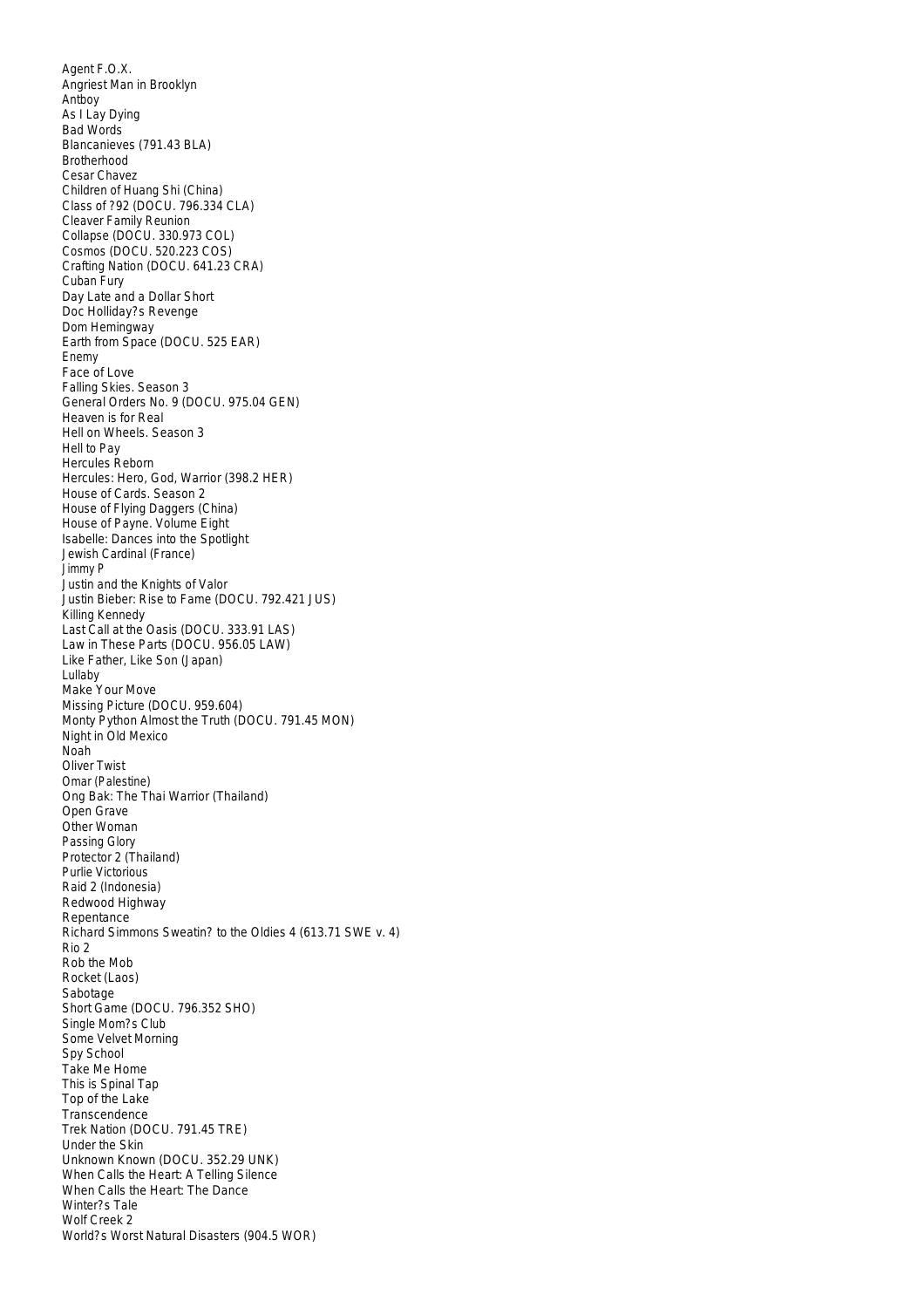Agent F.O.X. Angriest Man in Brooklyn Antboy As I Lay Dying Bad Words Blancanieves (791.43 BLA) Brotherhood Cesar Chavez Children of Huang Shi (China) Class of ?92 (DOCU. 796.334 CLA) Cleaver Family Reunion Collapse (DOCU. 330.973 COL) Cosmos (DOCU. 520.223 COS) Crafting Nation (DOCU. 641.23 CRA) Cuban Fury Day Late and a Dollar Short Doc Holliday?s Revenge Dom Hemingway Earth from Space (DOCU. 525 EAR) Enemy Face of Love Falling Skies. Season 3 General Orders No. 9 (DOCU. 975.04 GEN) Heaven is for Real Hell on Wheels. Season 3 Hell to Pay Hercules Reborn Hercules: Hero, God, Warrior (398.2 HER) House of Cards. Season 2 House of Flying Daggers (China) House of Payne. Volume Eight Isabelle: Dances into the Spotlight Jewish Cardinal (France) Jimmy P Justin and the Knights of Valor Justin Bieber: Rise to Fame (DOCU. 792.421 JUS) Killing Kennedy Last Call at the Oasis (DOCU. 333.91 LAS) Law in These Parts (DOCU. 956.05 LAW) Like Father, Like Son (Japan) Lullaby Make Your Move Missing Picture (DOCU. 959.604) Monty Python Almost the Truth (DOCU. 791.45 MON) Night in Old Mexico Noah Oliver Twist Omar (Palestine) Ong Bak: The Thai Warrior (Thailand) Open Grave Other Woman Passing Glory Protector 2 (Thailand) Purlie Victorious Raid 2 (Indonesia) Redwood Highway Repentance Richard Simmons Sweatin? to the Oldies 4 (613.71 SWE v. 4) Rio 2 Rob the Mob Rocket (Laos) Sabotage Short Game (DOCU. 796.352 SHO) Single Mom?s Club Some Velvet Morning Spy School Take Me Home This is Spinal Tap Top of the Lake Transcendence Trek Nation (DOCU. 791.45 TRE) Under the Skin Unknown Known (DOCU. 352.29 UNK) When Calls the Heart: A Telling Silence When Calls the Heart: The Dance Winter?s Tale Wolf Creek 2 World?s Worst Natural Disasters (904.5 WOR)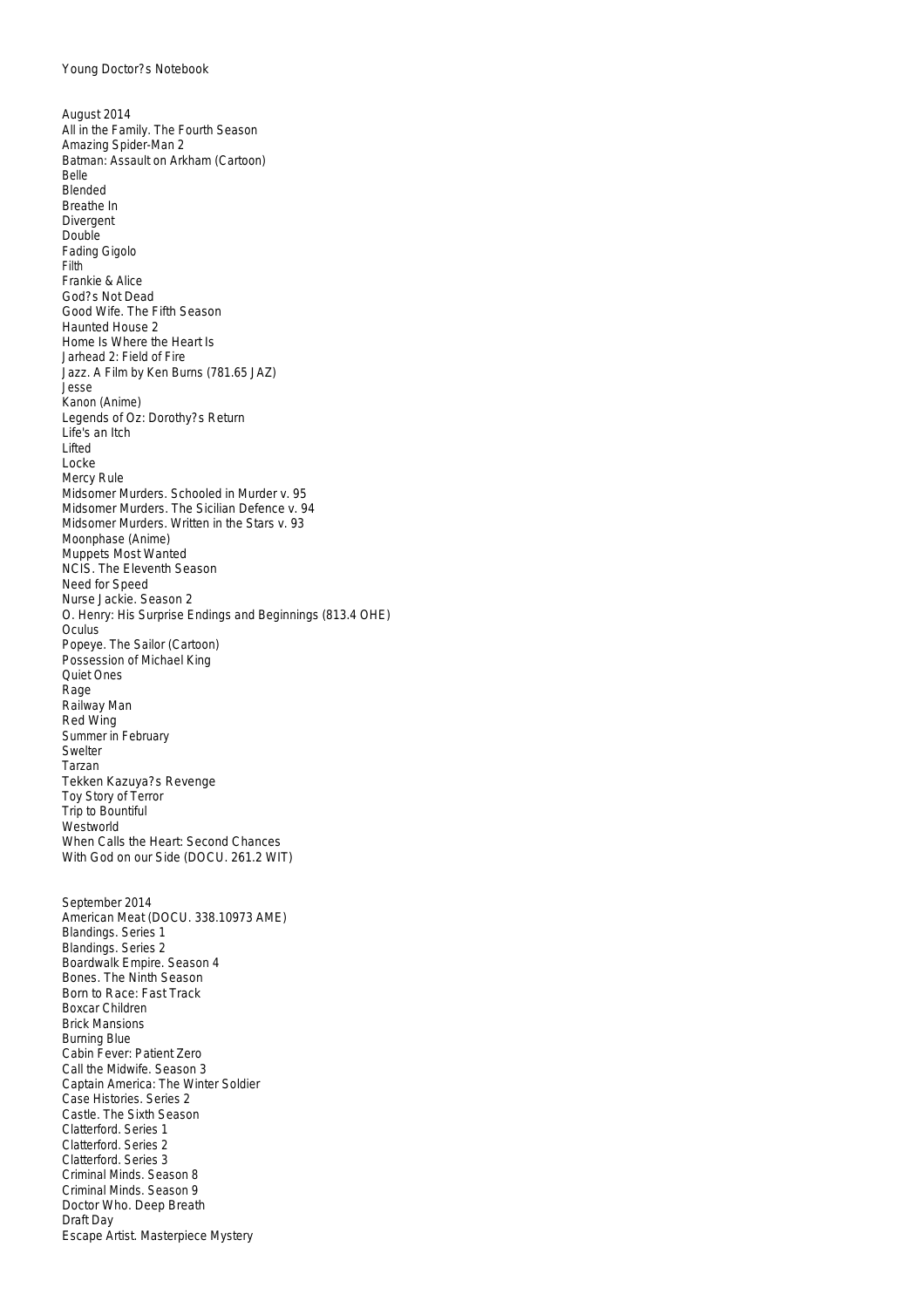August 2014 All in the Family. The Fourth Season Amazing Spider-Man 2 Batman: Assault on Arkham (Cartoon) Belle Blended Breathe In Divergent Double Fading Gigolo Filth Frankie & Alice God?s Not Dead Good Wife. The Fifth Season Haunted House 2 Home Is Where the Heart Is Jarhead 2: Field of Fire Jazz. A Film by Ken Burns (781.65 JAZ) Jesse Kanon (Anime) Legends of Oz: Dorothy?s Return Life's an Itch Lifted Locke Mercy Rule Midsomer Murders. Schooled in Murder v. 95 Midsomer Murders. The Sicilian Defence v. 94 Midsomer Murders. Written in the Stars v. 93 Moonphase (Anime) Muppets Most Wanted NCIS. The Eleventh Season Need for Speed Nurse Jackie. Season 2 O. Henry: His Surprise Endings and Beginnings (813.4 OHE) **Oculus** Popeye. The Sailor (Cartoon) Possession of Michael King Quiet Ones Rage Railway Man Red Wing Summer in February Swelter Tarzan Tekken Kazuya?s Revenge Toy Story of Terror Trip to Bountiful **Westworld** When Calls the Heart: Second Chances With God on our Side (DOCU. 261.2 WIT) September 2014 American Meat (DOCU. 338.10973 AME)

Blandings. Series 1 Blandings. Series 2 Boardwalk Empire. Season 4 Bones. The Ninth Season Born to Race: Fast Track Boxcar Children Brick Mansions Burning Blue Cabin Fever: Patient Zero Call the Midwife. Season 3 Captain America: The Winter Soldier Case Histories. Series 2 Castle. The Sixth Season Clatterford. Series 1 Clatterford. Series 2 Clatterford. Series 3 Criminal Minds. Season 8 Criminal Minds. Season 9 Doctor Who. Deep Breath Draft Day Escape Artist. Masterpiece Mystery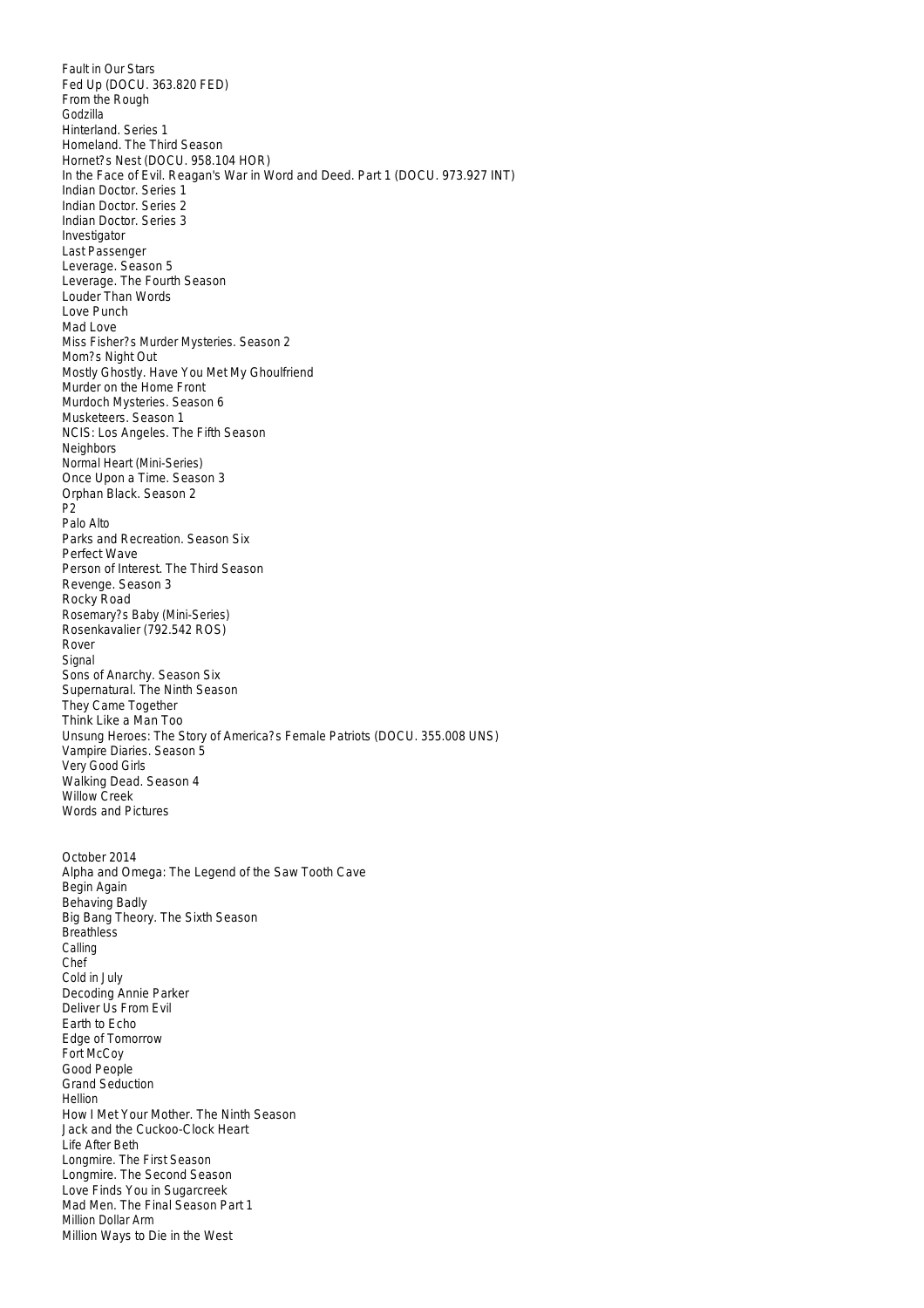Fault in Our Stars Fed Up (DOCU. 363.820 FED) From the Rough Godzilla Hinterland. Series 1 Homeland. The Third Season Hornet?s Nest (DOCU. 958.104 HOR) In the Face of Evil. Reagan's War in Word and Deed. Part 1 (DOCU. 973.927 INT) Indian Doctor. Series 1 Indian Doctor. Series 2 Indian Doctor. Series 3 Investigator Last Passenger Leverage. Season 5 Leverage. The Fourth Season Louder Than Words Love Punch Mad Love Miss Fisher?s Murder Mysteries. Season 2 Mom?s Night Out Mostly Ghostly. Have You Met My Ghoulfriend Murder on the Home Front Murdoch Mysteries. Season 6 Musketeers. Season 1 NCIS: Los Angeles. The Fifth Season Neighbors Normal Heart (Mini-Series) Once Upon a Time. Season 3 Orphan Black. Season 2 P2 Palo Alto Parks and Recreation. Season Six Perfect Wave Person of Interest. The Third Season Revenge. Season 3 Rocky Road Rosemary?s Baby (Mini-Series) Rosenkavalier (792.542 ROS) Rover Signal Sons of Anarchy. Season Six Supernatural. The Ninth Season They Came Together Think Like a Man Too Unsung Heroes: The Story of America?s Female Patriots (DOCU. 355.008 UNS) Vampire Diaries. Season 5 Very Good Girls Walking Dead. Season 4 Willow Creek Words and Pictures October 2014 Alpha and Omega: The Legend of the Saw Tooth Cave Begin Again Behaving Badly Big Bang Theory. The Sixth Season **Breathless** Calling Chef Cold in July Decoding Annie Parker Deliver Us From Evil Earth to Echo Edge of Tomorrow Fort McCoy Good People Grand Seduction Hellion How I Met Your Mother. The Ninth Season Jack and the Cuckoo-Clock Heart Life After Beth Longmire. The First Season Longmire. The Second Season Love Finds You in Sugarcreek Mad Men. The Final Season Part 1 Million Dollar Arm Million Ways to Die in the West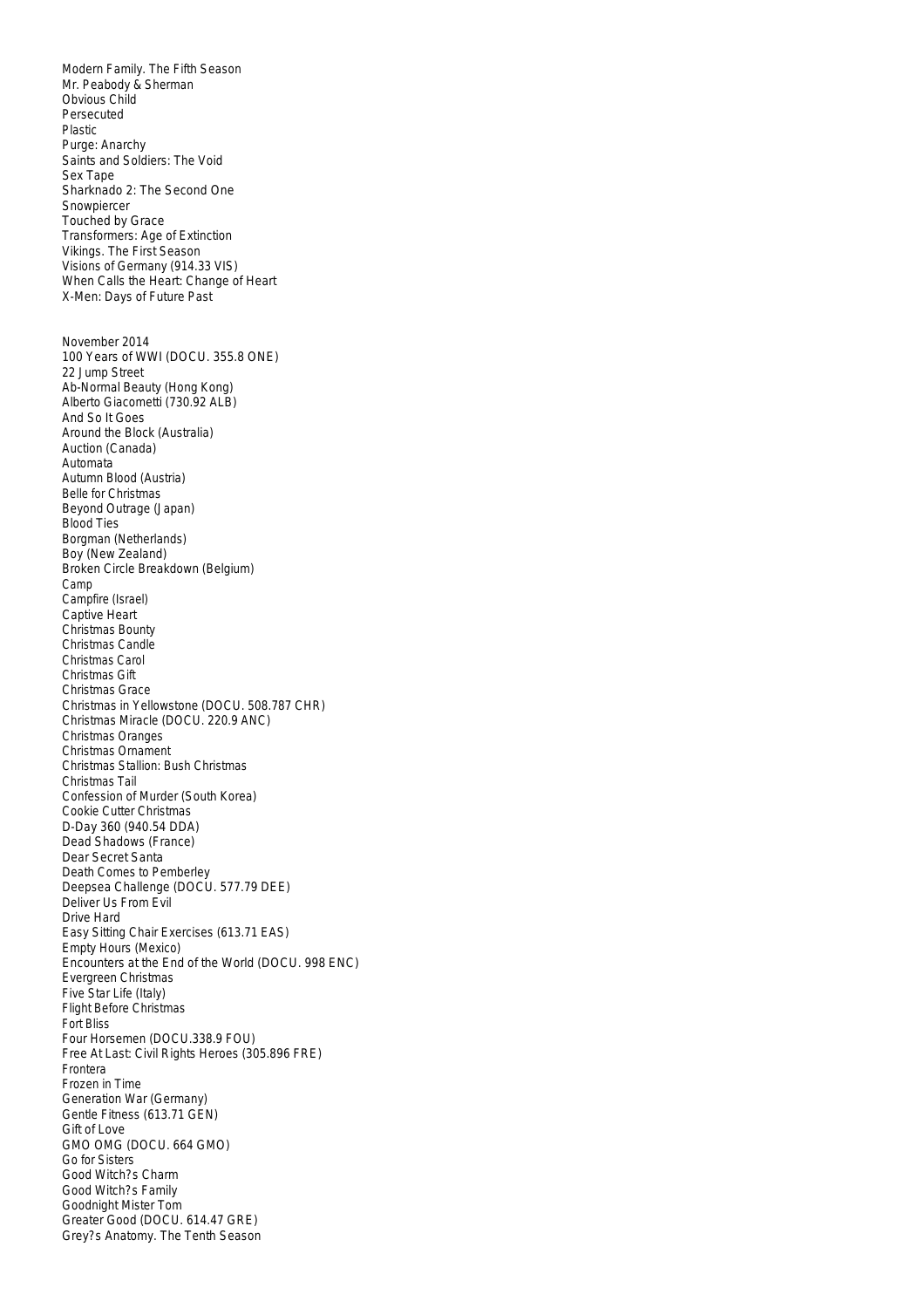Modern Family. The Fifth Season Mr. Peabody & Sherman Obvious Child Persecuted Plastic Purge: Anarchy Saints and Soldiers: The Void Sex Tape Sharknado 2: The Second One Snowpiercer Touched by Grace Transformers: Age of Extinction Vikings. The First Season Visions of Germany (914.33 VIS) When Calls the Heart: Change of Heart X-Men: Days of Future Past November 2014 100 Years of WWI (DOCU. 355.8 ONE) 22 Jump Street Ab-Normal Beauty (Hong Kong) Alberto Giacometti (730.92 ALB) And So It Goes Around the Block (Australia) Auction (Canada) Automata Autumn Blood (Austria) Belle for Christmas Beyond Outrage (Japan) Blood Ties Borgman (Netherlands) Boy (New Zealand) Broken Circle Breakdown (Belgium) Camp Campfire (Israel) Captive Heart Christmas Bounty Christmas Candle Christmas Carol Christmas Gift Christmas Grace Christmas in Yellowstone (DOCU. 508.787 CHR) Christmas Miracle (DOCU. 220.9 ANC) Christmas Oranges Christmas Ornament Christmas Stallion: Bush Christmas Christmas Tail Confession of Murder (South Korea) Cookie Cutter Christmas D-Day 360 (940.54 DDA) Dead Shadows (France) Dear Secret Santa Death Comes to Pemberley Deepsea Challenge (DOCU. 577.79 DEE) Deliver Us From Evil Drive Hard Easy Sitting Chair Exercises (613.71 EAS) Empty Hours (Mexico) Encounters at the End of the World (DOCU. 998 ENC) Evergreen Christmas Five Star Life (Italy) Flight Before Christmas Fort Bliss Four Horsemen (DOCU.338.9 FOU) Free At Last: Civil Rights Heroes (305.896 FRE) Frontera Frozen in Time Generation War (Germany) Gentle Fitness (613.71 GEN) Gift of Love GMO OMG (DOCU. 664 GMO) Go for Sisters Good Witch?s Charm Good Witch?s Family Goodnight Mister Tom Greater Good (DOCU. 614.47 GRE) Grey?s Anatomy. The Tenth Season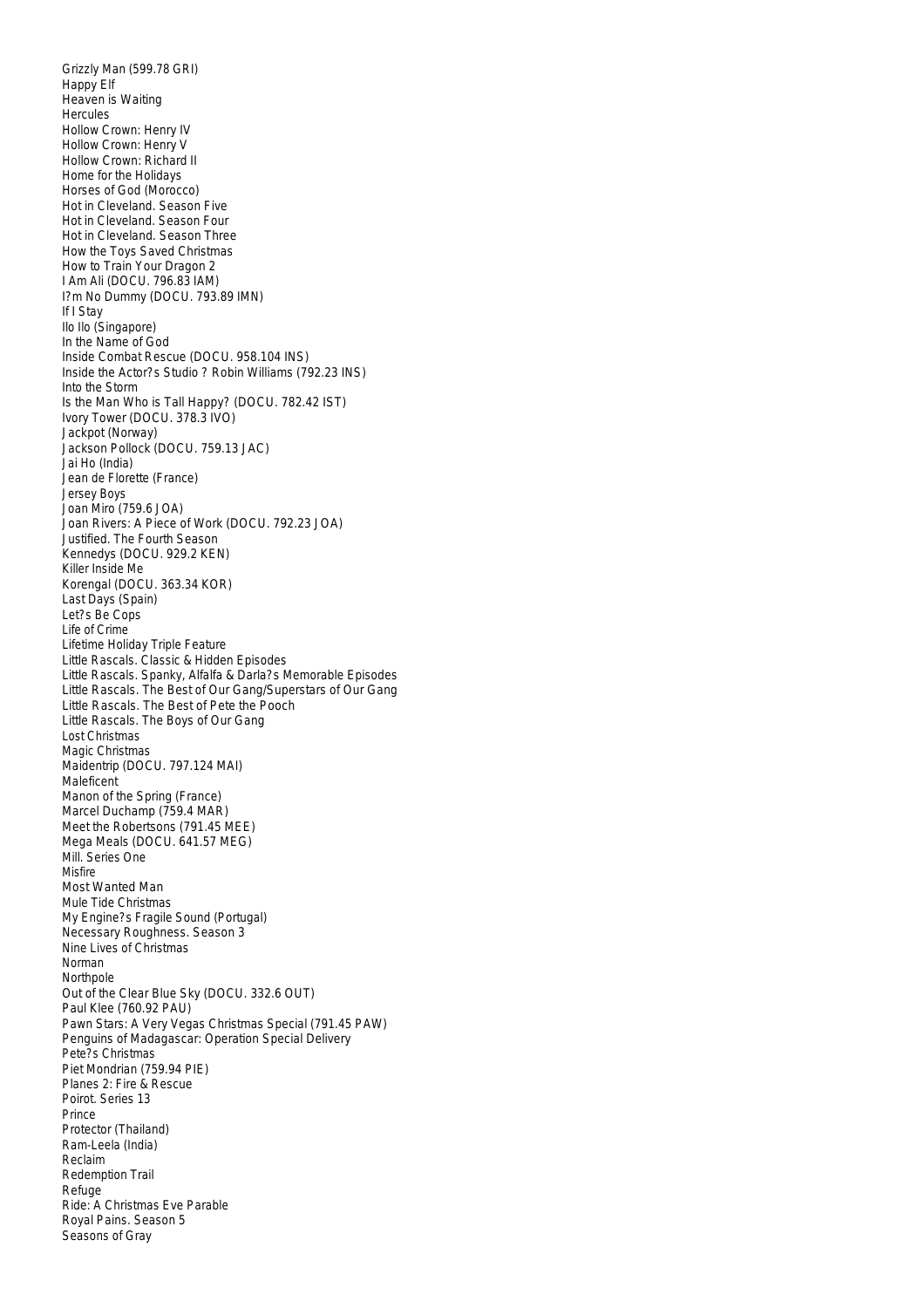Grizzly Man (599.78 GRI) Happy Elf Heaven is Waiting **Hercules** Hollow Crown: Henry IV Hollow Crown: Henry V Hollow Crown: Richard II Home for the Holidays Horses of God (Morocco) Hot in Cleveland. Season Five Hot in Cleveland. Season Four Hot in Cleveland. Season Three How the Toys Saved Christmas How to Train Your Dragon 2 I Am Ali (DOCU. 796.83 IAM) I?m No Dummy (DOCU. 793.89 IMN) If I Stay Ilo Ilo (Singapore) In the Name of God Inside Combat Rescue (DOCU. 958.104 INS) Inside the Actor?s Studio ? Robin Williams (792.23 INS) Into the Storm Is the Man Who is Tall Happy? (DOCU. 782.42 IST) Ivory Tower (DOCU. 378.3 IVO) Jackpot (Norway) Jackson Pollock (DOCU. 759.13 JAC) Jai Ho (India) Jean de Florette (France) Jersey Boys Joan Miro (759.6 JOA) Joan Rivers: A Piece of Work (DOCU. 792.23 JOA) Justified. The Fourth Season Kennedys (DOCU. 929.2 KEN) Killer Inside Me Korengal (DOCU. 363.34 KOR) Last Days (Spain) Let?s Be Cops Life of Crime Lifetime Holiday Triple Feature Little Rascals. Classic & Hidden Episodes Little Rascals. Spanky, Alfalfa & Darla?s Memorable Episodes Little Rascals. The Best of Our Gang/Superstars of Our Gang Little Rascals. The Best of Pete the Pooch Little Rascals. The Boys of Our Gang Lost Christmas Magic Christmas Maidentrip (DOCU. 797.124 MAI) Maleficent Manon of the Spring (France) Marcel Duchamp (759.4 MAR) Meet the Robertsons (791.45 MEE) Mega Meals (DOCU. 641.57 MEG) Mill. Series One Misfire Most Wanted Man Mule Tide Christmas My Engine?s Fragile Sound (Portugal) Necessary Roughness. Season 3 Nine Lives of Christmas Norman **Northpole** Out of the Clear Blue Sky (DOCU. 332.6 OUT) Paul Klee (760.92 PAU) Pawn Stars: A Very Vegas Christmas Special (791.45 PAW) Penguins of Madagascar: Operation Special Delivery Pete?s Christmas Piet Mondrian (759.94 PIE) Planes 2: Fire & Rescue Poirot. Series 13 Prince Protector (Thailand) Ram-Leela (India) Reclaim Redemption Trail Refuge Ride: A Christmas Eve Parable Royal Pains. Season 5 Seasons of Gray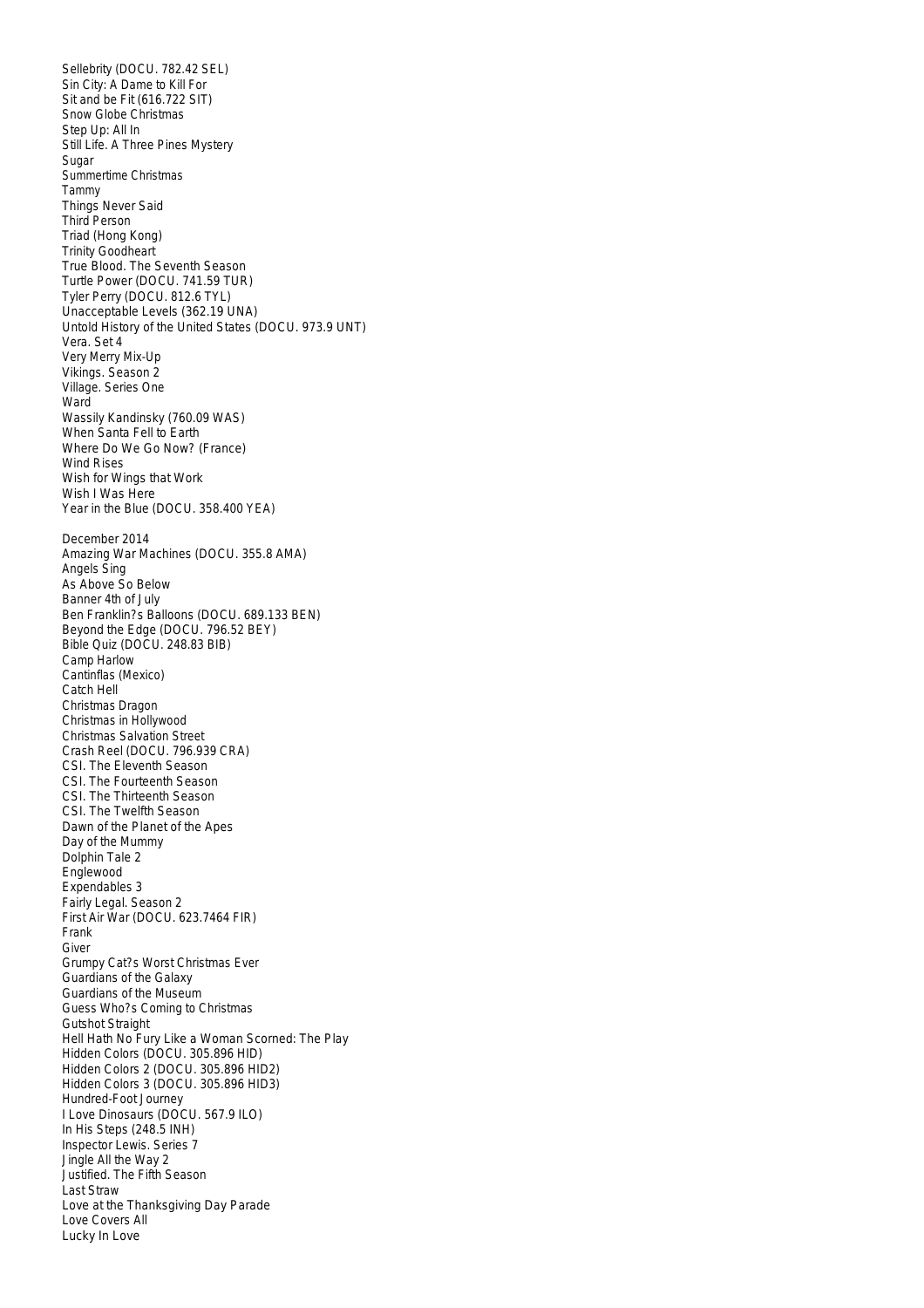Sellebrity (DOCU. 782.42 SEL) Sin City: A Dame to Kill For Sit and be Fit (616.722 SIT) Snow Globe Christmas Step Up: All In Still Life. A Three Pines Mystery Sugar Summertime Christmas Tammy Things Never Said Third Person Triad (Hong Kong) Trinity Goodheart True Blood. The Seventh Season Turtle Power (DOCU. 741.59 TUR) Tyler Perry (DOCU. 812.6 TYL) Unacceptable Levels (362.19 UNA) Untold History of the United States (DOCU. 973.9 UNT) Vera. Set 4 Very Merry Mix-Up Vikings. Season 2 Village. Series One Ward Wassily Kandinsky (760.09 WAS) When Santa Fell to Earth Where Do We Go Now? (France) Wind Rises Wish for Wings that Work Wish I Was Here Year in the Blue (DOCU. 358.400 YEA) December 2014 Amazing War Machines (DOCU. 355.8 AMA) Angels Sing As Above So Below Banner 4th of July Ben Franklin?s Balloons (DOCU. 689.133 BEN) Beyond the Edge (DOCU. 796.52 BEY) Bible Quiz (DOCU. 248.83 BIB) Camp Harlow Cantinflas (Mexico) Catch Hell Christmas Dragon Christmas in Hollywood Christmas Salvation Street Crash Reel (DOCU. 796.939 CRA) CSI. The Eleventh Season CSI. The Fourteenth Season CSI. The Thirteenth Season CSI. The Twelfth Season Dawn of the Planet of the Apes Day of the Mummy Dolphin Tale 2 Englewood Expendables 3 Fairly Legal. Season 2 First Air War (DOCU. 623.7464 FIR) Frank Giver Grumpy Cat?s Worst Christmas Ever Guardians of the Galaxy Guardians of the Museum Guess Who?s Coming to Christmas Gutshot Straight Hell Hath No Fury Like a Woman Scorned: The Play Hidden Colors (DOCU. 305.896 HID) Hidden Colors 2 (DOCU. 305.896 HID2) Hidden Colors 3 (DOCU. 305.896 HID3) Hundred-Foot Journey I Love Dinosaurs (DOCU. 567.9 ILO) In His Steps (248.5 INH) Inspector Lewis. Series 7 Jingle All the Way 2 Justified. The Fifth Season Last Straw Love at the Thanksgiving Day Parade Love Covers All Lucky In Love